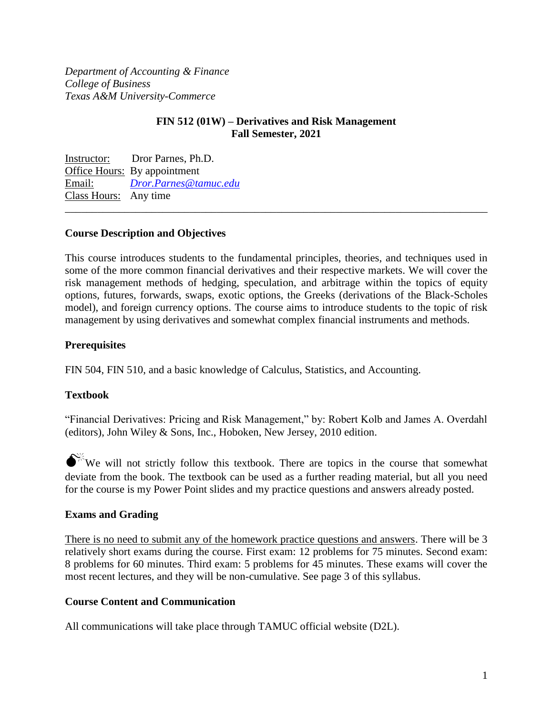*Department of Accounting & Finance College of Business Texas A&M University-Commerce* 

### **FIN 512 (01W) – Derivatives and Risk Management Fall Semester, 2021**

Instructor: Dror Parnes, Ph.D. Office Hours: By appointment Email: *[Dror.Parnes@tamuc.edu](mailto:Dror.Parnes@tamuc.edu)* Class Hours: Any time \_\_\_\_\_\_\_\_\_\_\_\_\_\_\_\_\_\_\_\_\_\_\_\_\_\_\_\_\_\_\_\_\_\_\_\_\_\_\_\_\_\_\_\_\_\_\_\_\_\_\_\_\_\_\_\_\_\_\_\_\_\_\_\_\_\_\_\_\_\_\_\_\_\_\_\_\_\_

### **Course Description and Objectives**

This course introduces students to the fundamental principles, theories, and techniques used in some of the more common financial derivatives and their respective markets. We will cover the risk management methods of hedging, speculation, and arbitrage within the topics of equity options, futures, forwards, swaps, exotic options, the Greeks (derivations of the Black-Scholes model), and foreign currency options. The course aims to introduce students to the topic of risk management by using derivatives and somewhat complex financial instruments and methods.

### **Prerequisites**

FIN 504, FIN 510, and a basic knowledge of Calculus, Statistics, and Accounting.

## **Textbook**

"Financial Derivatives: Pricing and Risk Management," by: Robert Kolb and James A. Overdahl (editors), John Wiley & Sons, Inc., Hoboken, New Jersey, 2010 edition.

 $\bullet^{\mathbb{X}}$  We will not strictly follow this textbook. There are topics in the course that somewhat deviate from the book. The textbook can be used as a further reading material, but all you need for the course is my Power Point slides and my practice questions and answers already posted.

#### **Exams and Grading**

There is no need to submit any of the homework practice questions and answers. There will be 3 relatively short exams during the course. First exam: 12 problems for 75 minutes. Second exam: 8 problems for 60 minutes. Third exam: 5 problems for 45 minutes. These exams will cover the most recent lectures, and they will be non-cumulative. See page 3 of this syllabus.

#### **Course Content and Communication**

All communications will take place through TAMUC official website (D2L).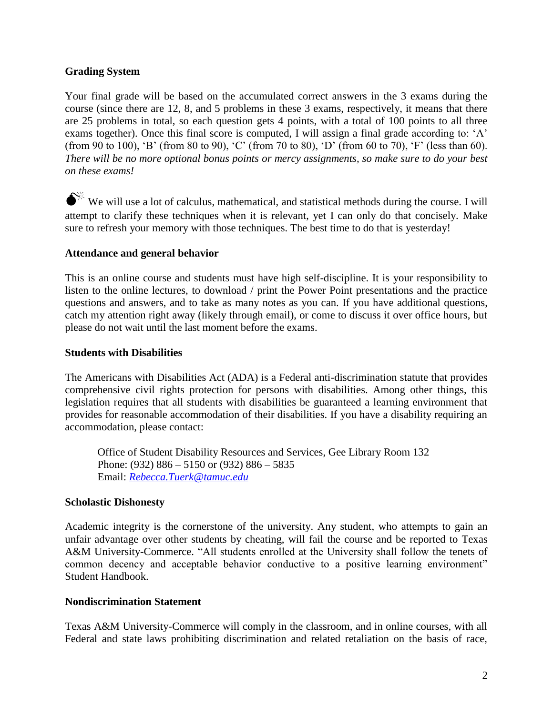## **Grading System**

Your final grade will be based on the accumulated correct answers in the 3 exams during the course (since there are 12, 8, and 5 problems in these 3 exams, respectively, it means that there are 25 problems in total, so each question gets 4 points, with a total of 100 points to all three exams together). Once this final score is computed, I will assign a final grade according to: 'A' (from 90 to 100), 'B' (from 80 to 90), 'C' (from 70 to 80), 'D' (from 60 to 70), 'F' (less than 60). *There will be no more optional bonus points or mercy assignments, so make sure to do your best on these exams!*

 $\bullet^{\%}$  We will use a lot of calculus, mathematical, and statistical methods during the course. I will attempt to clarify these techniques when it is relevant, yet I can only do that concisely. Make sure to refresh your memory with those techniques. The best time to do that is yesterday!

## **Attendance and general behavior**

This is an online course and students must have high self-discipline. It is your responsibility to listen to the online lectures, to download / print the Power Point presentations and the practice questions and answers, and to take as many notes as you can. If you have additional questions, catch my attention right away (likely through email), or come to discuss it over office hours, but please do not wait until the last moment before the exams.

### **Students with Disabilities**

The Americans with Disabilities Act (ADA) is a Federal anti-discrimination statute that provides comprehensive civil rights protection for persons with disabilities. Among other things, this legislation requires that all students with disabilities be guaranteed a learning environment that provides for reasonable accommodation of their disabilities. If you have a disability requiring an accommodation, please contact:

Office of Student Disability Resources and Services, Gee Library Room 132 Phone: (932) 886 – 5150 or (932) 886 – 5835 Email: *[Rebecca.Tuerk@tamuc.edu](mailto:Rebecca.Tuerk@tamuc.edu)*

## **Scholastic Dishonesty**

Academic integrity is the cornerstone of the university. Any student, who attempts to gain an unfair advantage over other students by cheating, will fail the course and be reported to Texas A&M University-Commerce. "All students enrolled at the University shall follow the tenets of common decency and acceptable behavior conductive to a positive learning environment" Student Handbook.

#### **Nondiscrimination Statement**

Texas A&M University-Commerce will comply in the classroom, and in online courses, with all Federal and state laws prohibiting discrimination and related retaliation on the basis of race,